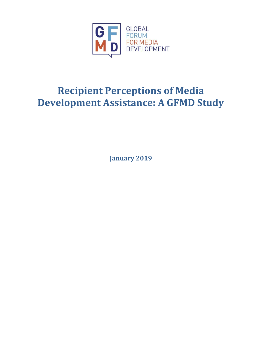

# **Recipient Perceptions of Media Development Assistance: A GFMD Study**

**January 2019**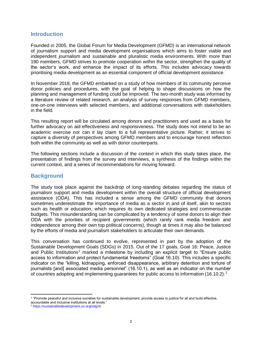#### **Introduction**

Founded in 2005, the Global Forum for Media Development (GFMD) is an international network of journalism support and media development organisations which aims to foster viable and independent journalism and sustainable and pluralistic media environments. With more than 190 members, GFMD strives to promote cooperation within the sector, strengthen the quality of the sector's work, and enhance the impact of its efforts. This includes advocacy towards prioritising media development as an essential component of official development assistance.

In November 2018, the GFMD embarked on a study of how members of its community perceive donor policies and procedures, with the goal of helping to shape discussions on how the planning and management of funding could be improved. The two-month study was informed by a literature review of related research, an analysis of survey responses from GFMD members, one-on-one interviews with selected members, and additional conversations with stakeholders in the field.

This resulting report will be circulated among donors and practitioners and used as a basis for further advocacy on aid effectiveness and responsiveness. The study does not intend to be an academic exercise nor can it lay claim to a full representative picture. Rather, it strives to capture a diversity of perspectives among GFMD members and to encourage honest reflection both within the community as well as with donor counterparts.

The following sections include a discussion of the context in which this study takes place, the presentation of findings from the survey and interviews, a synthesis of the findings within the current context, and a series of recommendations for moving forward.

### **Background**

The study took place against the backdrop of long-standing debates regarding the status of journalism support and media development within the overall structure of official development assistance (ODA). This has included a sense among the GFMD community that donors sometimes underestimate the importance of media as a sector in and of itself, akin to sectors such as health or education, which requires its own dedicated strategies and commensurate budgets. This misunderstanding can be complicated by a tendency of some donors to align their ODA with the priorities of recipient governments (which rarely rank media freedom and independence among their own top political concerns), though at times it may also be balanced by the efforts of media and journalism stakeholders to articulate their own demands.

This conversation has continued to evolve, represented in part by the adoption of the Sustainable Development Goals (SDGs) in 2015. Out of the 17 goals, Goal 16: Peace, Justice and Public Institutions<sup>1</sup> marked a milestone by including an explicit target to "Ensure public access to information and protect fundamental freedoms" (Goal 16.10). This includes a specific indicator on the "killing, kidnapping, enforced disappearance, arbitrary detention and torture of journalists [and] associated media personnel" (16.10.1), as well as an indicator on the number of countries adopting and implementing quarantees for public access to information (16.10.2).<sup>2</sup>

 $\overline{a}$ <sup>1</sup> "Promote peaceful and inclusive societies for sustainable development, provide access to justice for all and build effective, accountable and inclusive institutions at all levels."

<sup>2</sup> <https://sustainabledevelopment.un.org/sdg16>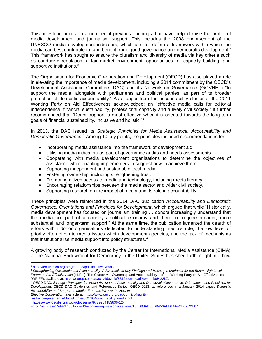This milestone builds on a number of previous openings that have helped raise the profile of media development and journalism support. This includes the 2008 endorsement of the UNESCO media development indicators, which aim to "define a framework within which the media can best contribute to, and benefit from, good governance and democratic development." This framework has sought to ensure the pluralism and diversity of media via key criteria such as conducive regulation, a fair market environment, opportunities for capacity building, and supportive institutions.<sup>3</sup>

The Organisation for Economic Co-operation and Development (OECD) has also played a role in elevating the importance of media development, including a 2011 commitment by the OECD's Development Assistance Committee (DAC) and its Network on Governance (GOVNET) "to support the media, alongside with parliaments and political parties, as part of its broader promotion of domestic accountability." As a paper from the accountability cluster of the 2011 Working Party on Aid Effectiveness acknowledged: an "effective media calls for editorial independence, financial sustainability, professional capacity and a lively civil society." It further recommended that "Donor support is most effective [wh](https://www.google.com/url?sa=t&rct=j&q=&esrc=s&source=web&cd=2&cad=rja&uact=8&ved=2ahUKEwis077eh_zeAhWOpYsKHYHpDXcQFjABegQICBAC&url=https%3A%2F%2Feuropa.eu%2Fcapacity4dev%2Ffile%2F8312%2Fdownload%3Ftoken%3DbuHj22LZ&usg=AOvVaw2Ouk3dLBY1H0cquNdTG1uO)en it is oriented towards the long-term goals of financial sustainability, inclusive and holistic."<sup>4</sup>

In 2013, the DAC issued its *Strategic Principles for Media Assistance, Accountability and*  Democratic Governance.<sup>5</sup> Among 10 key points, the principles included recommendations for:

- Incorporating media assistance into the framework of development aid.
- Utilising media indicators as part of governance audits and needs assessments.
- Cooperating with media development organisations to determine the objectives of assistance while enabling implementers to suggest how to achieve them.
- Supporting independent and sustainable local media.
- Fostering ownership, including strengthening trust.
- Promoting citizen access to media and technology, including media literacy.
- Encouraging relationships between the media sector and wider civil society.
- Supporting research on the impact of media and its role in accountability.

These principles were reinforced in the 2014 DAC publication *Accountability and Democratic Governance: Orientations and Principles for Development*, which argued that while "Historically, media development has focused on journalism training … donors increasingly understand that the media are part of a country's political economy and therefore require broader, more substantial, and longer-term support." At the same time, the publication lamented the dearth of efforts within donor organisations dedicated to understanding media's role, the low level of priority often given to media issues within development agencies, and the lack of mechanisms that institutionalise media support into policy structures.<sup>6</sup>

A growing body of research conducted by the Center for International Media Assistance (CIMA) at the National Endowment for Democracy in the United States has shed further light into how

 $\overline{a}$ 

[resilience/governance/docs/Domestic%20Accountability\\_media.pdf](https://www.oecd.org/dac/conflict-fragility-resilience/governance/docs/Domestic%20Accountability_media.pdf) <sup>6</sup> [https://www.oecd-ilibrary.org/docserver/9789264183636-12-](https://www.oecd-ilibrary.org/docserver/9789264183636-12-en.pdf?expires=1544711361&id=id&accname=guest&checksum=C18EB83AD36DB456ABD14A4CD32C2E67)

<sup>3</sup> <https://en.unesco.org/programme/ipdc/initiatives/mdis>

<sup>4</sup> *Strengthening Ownership and Accountability: A Synthesis of Key Findings and Messages produced for the Busan High Level Forum on Aid Effectiveness* (HLF-4), The Cluster A – Ownership and Accountability – of the Working Party on Aid Effectiveness (WP-FF), available at: [https://europa.eu/capacity4dev/file/8312/download?token=buHj22LZ.](https://europa.eu/capacity4dev/file/8312/download?token=buHj22LZ) 

<sup>5</sup> OECD DAC, *Strategic Principles for Media Assistance, Accountability and Democratic Governance: Orientations and Principles for Development*, OECD DAC Guidelines and References Series, OECD 2013, as referenced in a January 2014 paper, *Domestic Accountability and Support to Media: From the Why to the How in* 

*Effective Cooperation*, available at: [https://www.oecd.org/dac/conflict-fragility-](https://www.oecd.org/dac/conflict-fragility-resilience/governance/docs/Domestic%20Accountability_media.pdf)

[en.pdf?expires=1544711361&id=id&accname=guest&checksum=C18EB83AD36DB456ABD14A4CD32C2E67](https://www.oecd-ilibrary.org/docserver/9789264183636-12-en.pdf?expires=1544711361&id=id&accname=guest&checksum=C18EB83AD36DB456ABD14A4CD32C2E67)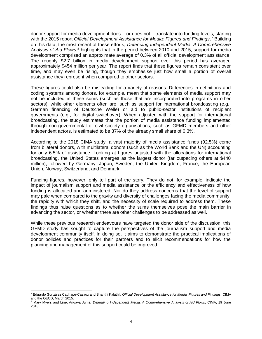donor support for media development does – or does not – translate into funding levels, starting with the 2015 report *Official Development Assistance for Media: Figures and Findings*. <sup>7</sup> Building on this data, the most recent of these efforts, *Defending Independent Media: A Comprehensive Analysis of Aid Flows*, <sup>8</sup> highlights that in the period between 2010 and 2015, support for media development comprised an approximate average of 0.3% of all official development assistance. The roughly \$2.7 billion in media development support over this period has averaged approximately \$454 million per year. The report finds that these figures remain consistent over time, and may even be rising, though they emphasise just how small a portion of overall assistance they represent when compared to other sectors.

These figures could also be misleading for a variety of reasons. Differences in definitions and coding systems among donors, for example, mean that some elements of media support may not be included in these sums (such as those that are incorporated into programs in other sectors), while other elements often are, such as support for international broadcasting (e.g., German financing of Deutsche Welle) or aid to public-sector institutions of recipient governments (e.g., for digital switchover). When adjusted with the support for international broadcasting, the study estimates that the portion of media assistance funding implemented through non-governmental or civil society organisations, such as GFMD members and other independent actors, is estimated to be 37% of the already small share of 0.3%.

According to the 2018 CIMA study, a vast majority of media assistance funds (92.5%) come from bilateral donors, with multilateral donors (such as the World Bank and the UN) accounting for only 6.5% of assistance. Looking at figures adjusted with the allocations for international broadcasting, the United States emerges as the largest donor (far outpacing others at \$440 million), followed by Germany, Japan, Sweden, the United Kingdom, France, the European Union, Norway, Switzerland, and Denmark.

Funding figures, however, only tell part of the story. They do not, for example, indicate the impact of journalism support and media assistance or the efficiency and effectiveness of how funding is allocated and administered. Nor do they address concerns that the level of support may pale when compared to the gravity and diversity of challenges facing the media community, the rapidity with which they shift, and the necessity of scale required to address them. These findings thus raise questions as to whether the sums themselves pose the main barrier in advancing the sector, or whether there are other challenges to be addressed as well.

While these previous research endeavours have targeted the donor side of the discussion, this GFMD study has sought to capture the perspectives of the journalism support and media development community itself. In doing so, it aims to demonstrate the practical implications of donor policies and practices for their partners and to elicit recommendations for how the planning and management of this support could be improved.

 $\overline{a}$ <sup>7</sup> Eduardo González Cauhapé-Cazaux and Shanthi Kalathil, *Official Development Assistance for Media: Figures and Findings*, CIMA and the OECD, March 2015.

<sup>8</sup> Mary Myers and Linet Angaya Juma, *Defending Independent Media: A Comprehensive Analysis of Aid Flows*, CIMA, 19 June 2018.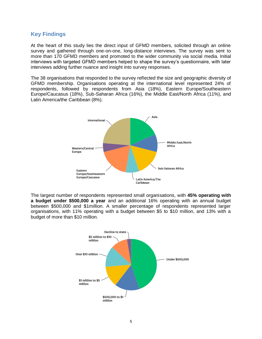#### **Key Findings**

At the heart of this study lies the direct input of GFMD members, solicited through an online survey and gathered through one-on-one, long-distance interviews. The survey was sent to more than 170 GFMD members and promoted to the wider community via social media. Initial interviews with targeted GFMD members helped to shape the survey's questionnaire, with later interviews adding further nuance and insight into survey responses.

The 38 organisations that responded to the survey reflected the size and geographic diversity of GFMD membership. Organisations operating at the international level represented 24% of respondents, followed by respondents from Asia (18%), Eastern Europe/Southeastern Europe/Caucasus (18%), Sub-Saharan Africa (16%), the Middle East/North Africa (11%), and Latin America/the Caribbean (8%).



The largest number of respondents represented small organisations, with **45% operating with a budget under \$500,000 a year** and an additional 16% operating with an annual budget between \$500,000 and \$1million. A smaller percentage of respondents represented larger organisations, with 11% operating with a budget between \$5 to \$10 million, and 13% with a budget of more than \$10 million.

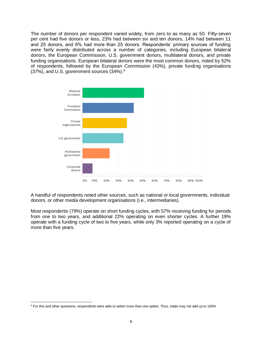The number of donors per respondent varied widely, from zero to as many as 50. Fifty-seven per cent had five donors or less, 23% had between six and ten donors, 14% had between 11 and 25 donors, and 6% had more than 25 donors. Respondents' primary sources of funding were fairly evenly distributed across a number of categories, including European bilateral donors, the European Commission, U.S. government donors, multilateral donors, and private funding organisations. European bilateral donors were the most common donors, noted by 52% of respondents, followed by the European Commission (43%), private funding organisations  $(37%)$ , and U.S. government sources  $(34%)$ .



A handful of respondents noted other sources, such as national or local governments, individual donors, or other media development organisations (i.e., intermediaries).

Most respondents (79%) operate on short funding cycles, with 57% receiving funding for periods from one to two years, and additional 22% operating on even shorter cycles. A further 19% operate with a funding cycle of two to five years, while only 3% reported operating on a cycle of more than five years.

l

<sup>&</sup>lt;sup>9</sup> For this and other questions, respondents were able to select more than one option. Thus, totals may not add up to 100%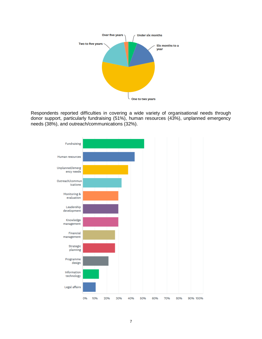

Respondents reported difficulties in covering a wide variety of organisational needs through donor support, particularly fundraising (51%), human resources (43%), unplanned emergency needs (38%), and outreach/communications (32%).

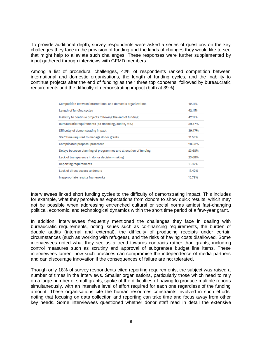To provide additional depth, survey respondents were asked a series of questions on the key challenges they face in the provision of funding and the kinds of changes they would like to see that might help to alleviate such challenges. These responses were further supplemented by input gathered through interviews with GFMD members.

Among a list of procedural challenges, 42% of respondents ranked competition between international and domestic organisations, the length of funding cycles, and the inability to continue projects after the end of funding as their three top concerns, followed by bureaucratic requirements and the difficulty of demonstrating impact (both at 39%).

| Competition between international and domestic organizations    | 42.11% |
|-----------------------------------------------------------------|--------|
| Length of funding cycles                                        | 42.11% |
| Inability to continue projects following the end of funding     | 42.11% |
| Bureaucratic requirements (co-financing, audits, etc.)          | 39.47% |
| Difficulty of demonstrating impact                              | 39.47% |
| Staff time required to manage donor grants                      | 31.58% |
| Complicated proposal processes                                  | 28.95% |
| Delays between planning of programmes and allocation of funding | 23.68% |
| Lack of transparency in donor decision-making                   | 23.68% |
| <b>Reporting requirements</b>                                   | 18.42% |
| Lack of direct access to donors                                 | 18.42% |
| Inappropriate results frameworks                                | 15.79% |

Interviewees linked short funding cycles to the difficulty of demonstrating impact. This includes for example, what they perceive as expectations from donors to show quick results, which may not be possible when addressing entrenched cultural or social norms amidst fast-changing political, economic, and technological dynamics within the short time period of a few-year grant.

In addition, interviewees frequently mentioned the challenges they face in dealing with bureaucratic requirements, noting issues such as co-financing requirements, the burden of double audits (internal and external), the difficulty of producing receipts under certain circumstances (such as working with refugees), and the risks of having costs disallowed. Some interviewees noted what they see as a trend towards contracts rather than grants, including control measures such as scrutiny and approval of subgrantee budget line items. These interviewees lament how such practices can compromise the independence of media partners and can discourage innovation if the consequences of failure are not tolerated.

Though only 18% of survey respondents cited reporting requirements, the subject was raised a number of times in the interviews. Smaller organisations, particularly those which need to rely on a large number of small grants, spoke of the difficulties of having to produce multiple reports simultaneously, with an intensive level of effort required for each one regardless of the funding amount. These organisations cite the human resources constraints involved in such efforts, noting that focusing on data collection and reporting can take time and focus away from other key needs. Some interviewees questioned whether donor staff read in detail the extensive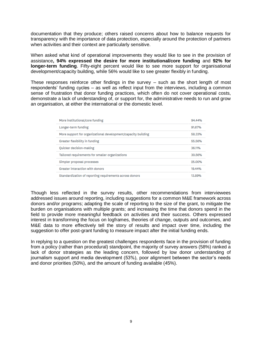documentation that they produce; others raised concerns about how to balance requests for transparency with the importance of data protection, especially around the protection of partners when activities and their context are particularly sensitive.

When asked what kind of operational improvements they would like to see in the provision of assistance**, 94% expressed the desire for more institutional/core funding** and **92% for longer-term funding**. Fifty-eight percent would like to see more support for organisational development/capacity building, while 56% would like to see greater flexibly in funding.

These responses reinforce other findings in the survey – such as the short length of most respondents' funding cycles – as well as reflect input from the interviews, including a common sense of frustration that donor funding practices, which often do not cover operational costs, demonstrate a lack of understanding of, or support for, the administrative needs to run and grow an organisation, at either the international or the domestic level.

| More institutional/core funding                               | 94.44% |
|---------------------------------------------------------------|--------|
| Longer-term funding                                           | 91.67% |
| More support for organizational development/capacity building | 58.33% |
| Greater flexibility in funding                                | 55.56% |
| Quicker decision-making                                       | 36.11% |
| Tailored requirements for smaller organizations               | 30.56% |
| Simpler proposal processes                                    | 25.00% |
| Greater interaction with donors                               | 19.44% |
| Standardization of reporting requirements across donors       | 13.89% |

Though less reflected in the survey results, other recommendations from interviewees addressed issues around reporting, including suggestions for a common M&E framework across donors and/or programs; adapting the scale of reporting to the size of the grant, to mitigate the burden on organisations with multiple grants; and increasing the time that donors spend in the field to provide more meaningful feedback on activities and their success. Others expressed interest in transforming the focus on logframes, theories of change, outputs and outcomes, and M&E data to more effectively tell the story of results and impact over time, including the suggestion to offer post-grant funding to measure impact after the initial funding ends.

In replying to a question on the greatest challenges respondents face in the provision of funding from a policy (rather than procedural) standpoint, the majority of survey answers (58%) ranked a lack of donor strategies as the leading concern, followed by low donor understanding of journalism support and media development (53%), poor alignment between the sector's needs and donor priorities (50%), and the amount of funding available (45%).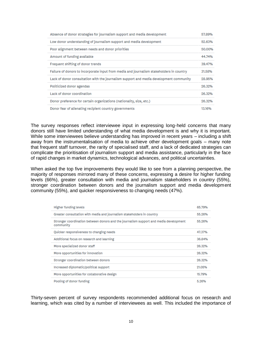| Absence of donor strategies for journalism support and media development                 | 57.89% |
|------------------------------------------------------------------------------------------|--------|
| Low donor understanding of journalism support and media development                      | 52.63% |
| Poor alignment between needs and donor priorities                                        | 50.00% |
| Amount of funding available                                                              | 44.74% |
| Frequent shifting of donor trends                                                        | 39.47% |
| Failure of donors to incorporate input from media and journalism stakeholders in country | 31.58% |
| Lack of donor consultation with the journalism support and media development community   | 28.95% |
| Politicized donor agendas                                                                | 26.32% |
| Lack of donor coordination                                                               | 26.32% |
| Donor preference for certain organizations (nationality, size, etc.)                     | 26.32% |
| Donor fear of alienating recipient country governments                                   | 13.16% |

The survey responses reflect interviewee input in expressing long-held concerns that many donors still have limited understanding of what media development is and why it is important. While some interviewees believe understanding has improved in recent years – including a shift away from the instrumentalisation of media to achieve other development goals – many note that frequent staff turnover, the rarity of specialised staff, and a lack of dedicated strategies can complicate the prioritisation of journalism support and media assistance, particularly in the face of rapid changes in market dynamics, technological advances, and political uncertainties.

When asked the top five improvements they would like to see from a planning perspective, the majority of responses mirrored many of these concerns, expressing a desire for higher funding levels (66%), greater consultation with media and journalism stakeholders in country (55%), stronger coordination between donors and the journalism support and media development community (55%), and quicker responsiveness to changing needs (47%).

| <b>Higher funding levels</b>                                                                       | 65.79% |
|----------------------------------------------------------------------------------------------------|--------|
| Greater consultation with media and journalism stakeholders in country                             | 55.26% |
| Stronger coordination between donors and the journalism support and media development<br>community | 55.26% |
| Quicker responsiveness to changing needs                                                           | 47.37% |
| Additional focus on research and learning                                                          | 36.84% |
| More specialized donor staff                                                                       | 26.32% |
| More opportunities for innovation                                                                  | 26.32% |
| Stronger coordination between donors                                                               | 26.32% |
| Increased diplomatic/political support                                                             | 21.05% |
| More opportunities for collaborative design                                                        | 15.79% |
| Pooling of donor funding                                                                           | 5.26%  |

Thirty-seven percent of survey respondents recommended additional focus on research and learning, which was cited by a number of interviewees as well. This included the importance of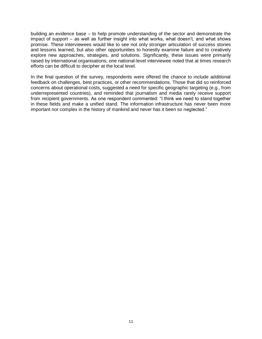building an evidence base – to help promote understanding of the sector and demonstrate the impact of support – as well as further insight into what works, what doesn't, and what shows promise. These interviewees would like to see not only stronger articulation of success stories and lessons learned, but also other opportunities to honestly examine failure and to creatively explore new approaches, strategies, and solutions. Significantly, these issues were primarily raised by international organisations; one national-level interviewee noted that at times research efforts can be difficult to decipher at the local level.

In the final question of the survey, respondents were offered the chance to include additional feedback on challenges, best practices, or other recommendations. Those that did so reinforced concerns about operational costs, suggested a need for specific geographic targeting (e.g., from underrepresented countries), and reminded that journalism and media rarely receive support from recipient governments. As one respondent commented: "I think we need to stand together in these fields and make a unified stand. The information infrastructure has never been more important nor complex in the history of mankind and never has it been so neglected."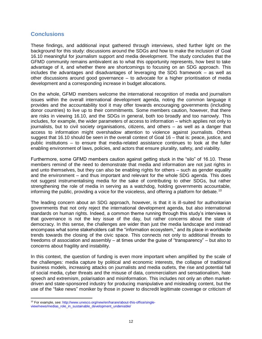## **Conclusions**

These findings, and additional input gathered through interviews, shed further light on the background for this study: discussions around the SDGs and how to make the inclusion of Goal 16.10 meaningful for journalism support and media development. The study concludes that the GFMD community remains ambivalent as to what this opportunity represents, how best to take advantage of it, and whether there are shortcomings to focusing on an SDG approach. This includes the advantages and disadvantages of leveraging the SDG framework – as well as other discussions around good governance – to advocate for a higher prioritisation of media development and a corresponding increase in budget allocations.

On the whole, GFMD members welcome the international recognition of media and journalism issues within the overall international development agenda, noting the common language it provides and the accountability tool it may offer towards encouraging governments (including donor countries) to live up to their commitments. Some members caution, however, that there are risks in viewing 16.10, and the SDGs in general, both too broadly and too narrowly. This includes, for example, the wider parameters of access to information – which applies not only to journalists, but to civil society organisations, citizens, and others – as well as a danger that access to information might overshadow attention to violence against journalists. Others suggest that 16.10 should be seen in the overall context of Goal 16 – that is: peace, justice, and public institutions – to ensure that media-related assistance continues to look at the fuller enabling environment of laws, policies, and actors that ensure plurality, safety, and viability.

Furthermore, some GFMD members caution against getting stuck in the "silo" of 16.10. These members remind of the need to demonstrate that media and information are not just rights in and unto themselves, but they can also be enabling rights for others – such as gender equality and the environment – and thus important and relevant for the whole SDG agenda. This does not suggest instrumentalising media for the sake of contributing to other SDGs, but rather strengthening the role of media in serving as a watchdog, holding governments accountable, informing the public, providing a voice for the voiceless, and offering a platform for debate.<sup>10</sup>

The leading concern about an SDG approach, however, is that it is ill-suited for authoritarian governments that not only reject the international development agenda, but also international standards on human rights. Indeed, a common theme running through this study's interviews is that governance is not the key issue of the day, but rather concerns about the state of democracy. In this sense, the challenges are wider than just the media landscape and instead encompass what some stakeholders call the "information ecosystem," and its place in worldwide trends towards the closing of the civic space. This connects not only to additional threats to freedoms of association and assembly – at times under the guise of "transparency" – but also to concerns about fragility and instability.

In this context, the question of funding is even more important when amplified by the scale of the challenges: media capture by political and economic interests, the collapse of traditional business models, increasing attacks on journalists and media outlets, the rise and potential fall of social media, cyber threats and the misuse of data, commercialism and sensationalism, hate speech and extremism, polarisation and misinformation. This includes not only an often marketdriven and state-sponsored industry for producing manipulative and misleading content, but the use of the "fake news" moniker by those in power to discredit legitimate coverage or criticism of

 $\overline{a}$ 

<sup>&</sup>lt;sup>10</sup> For example, see: [http://www.unesco.org/new/en/harare/about-this-office/single](http://www.unesco.org/new/en/harare/about-this-office/single-view/news/medias_role_in_sustainable_development_undeniable/)[view/news/medias\\_role\\_in\\_sustainable\\_development\\_undeniable/](http://www.unesco.org/new/en/harare/about-this-office/single-view/news/medias_role_in_sustainable_development_undeniable/)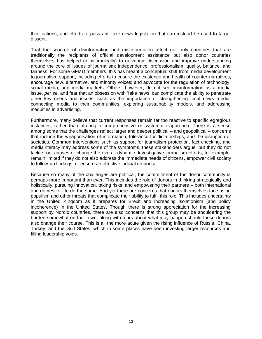their actions, and efforts to pass anti-fake news legislation that can instead be used to target dissent.

That the scourge of disinformation and misinformation affect not only countries that are traditionally the recipients of official development assistance but also donor countries themselves has helped (a bit ironically) to galvanise discussion and improve understanding around the core of issues of journalism: independence, professionalism, quality, balance, and fairness. For some GFMD members, this has meant a conceptual shift from media development to journalism support, including efforts to ensure the existence and health of counter-narratives; encourage new, alternative, and minority voices; and advocate for the regulation of technology, social media, and media markets. Others, however, do not see misinformation as a media issue, *per se*, and fear that an obsession with 'fake news' can complicate the ability to penetrate other key needs and issues, such as the importance of strengthening local news media, connecting media to their communities, exploring sustainability models, and addressing inequities in advertising.

Furthermore, many believe that current responses remain far too reactive to specific egregious instances, rather than offering a comprehensive or systematic approach. There is a sense among some that the challenges reflect larger and deeper political – and geopolitical – concerns that include the weaponisation of information, tolerance for dictatorships, and the disruption of societies. Common interventions such as support for journalism protection, fact checking, and media literacy may address some of the symptoms, these stakeholders argue, but they do not tackle root causes or change the overall dynamic. Investigative journalism efforts, for example, remain limited if they do not also address the immediate needs of citizens, empower civil society to follow-up findings, or ensure an effective judicial response.

Because so many of the challenges are political, the commitment of the donor community is perhaps more important than ever. This includes the role of donors in thinking strategically and holistically, pursuing innovation, taking risks, and empowering their partners – both international and domestic – to do the same. And yet there are concerns that donors themselves face rising populism and other threats that complicate their ability to fulfil this role. This includes uncertainty in the United Kingdom as it prepares for Brexit and increasing isolationism (and policy incoherence) in the United States. Though there is strong appreciation for the increasing support by Nordic countries, there are also concerns that this group may be shouldering the burden somewhat on their own, along with fears about what may happen should these donors also change their course. This is all the more acute given the rising influence of Russia, China, Turkey, and the Gulf States, which in some places have been investing larger resources and filling leadership voids.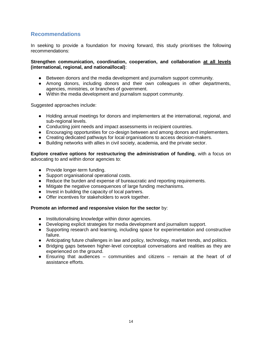# **Recommendations**

In seeking to provide a foundation for moving forward, this study prioritises the following recommendations:

**Strengthen communication, coordination, cooperation, and collaboration at all levels (international, regional, and national/local)**:

- Between donors and the media development and journalism support community.
- Among donors, including donors and their own colleagues in other departments, agencies, ministries, or branches of government.
- Within the media development and journalism support community.

Suggested approaches include:

- Holding annual meetings for donors and implementers at the international, regional, and sub-regional levels.
- Conducting joint needs and impact assessments in recipient countries.
- Encouraging opportunities for co-design between and among donors and implementers.
- Creating dedicated pathways for local organisations to access decision-makers.
- Building networks with allies in civil society, academia, and the private sector.

**Explore creative options for restructuring the administration of funding**, with a focus on advocating to and within donor agencies to:

- Provide longer-term funding.
- Support organisational operational costs.
- Reduce the burden and expense of bureaucratic and reporting requirements.
- Mitigate the negative consequences of large funding mechanisms.
- Invest in building the capacity of local partners.
- Offer incentives for stakeholders to work together.

#### **Promote an informed and responsive vision for the sector** by:

- Institutionalising knowledge within donor agencies.
- Developing explicit strategies for media development and journalism support.
- Supporting research and learning, including space for experimentation and constructive failure.
- Anticipating future challenges in law and policy, technology, market trends, and politics.
- Bridging gaps between higher-level conceptual conversations and realities as they are experienced on the ground.
- Ensuring that audiences communities and citizens remain at the heart of of assistance efforts.